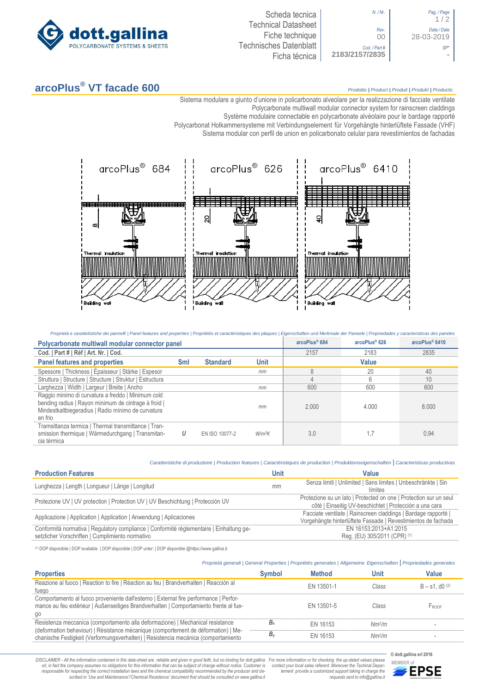

| Pag. / Page<br>1/2        |
|---------------------------|
| Data / Date<br>28-03-2019 |
|                           |
|                           |

*N. / Nr*. *Pag. / Page* 1 / 2 *Rev*. *Data / Date* 00 28-03-2019 *Cod. / Part # SP\**

## **arcoPlus® VT facade 600** *Prodotto <sup>|</sup> Product <sup>|</sup> Produit <sup>|</sup> Produkt <sup>|</sup> Producto*

Sistema modulare a giunto d'unione in policarbonato alveolare per la realizzazione di facciate ventilate

Polycarbonate multiwall modular connector system for rainscreen claddings Système modulaire connectable en polycarbonate alvéolaire pour le bardage rapporté

Polycarbonat Holkammersysteme mit Verbindungselement für Vorgehängte hinterlüftete Fassade (VHF)

Sistema [modular con perfil de union en policarbonato c](http://www.google.it/url?sa=t&rct=j&q=&esrc=s&source=web&cd=6&ved=0ahUKEwiPyOW6w_3PAhXLORoKHXbkAhUQFggtMAU&url=http%3A%2F%2Fwww.getsl.com%2Fes%2Fmateriales-construccion%2Fsabic-policarbonato%2Fplaca-solida%2Flexan-exell-d-placa-translucida%2F&usg=AFQjCNF4aMpg9CRcF79iWWH-XBKKMH3eWA&bvm=bv.136811127,d.bGs)elular para revestimientos de fachadas



| Proprietà e carattetistiche dei pannelli   Panel features and properties   Propriétés et caractéristiques des plaques   Eigenschaften und Merkmale der Paneele   Propriedades y caracteristicas des paneles |     |                 |               |               |                |       |
|-------------------------------------------------------------------------------------------------------------------------------------------------------------------------------------------------------------|-----|-----------------|---------------|---------------|----------------|-------|
| Polycarbonate multiwall modular connector panel                                                                                                                                                             |     |                 | arcoPlus® 684 | arcoPlus® 626 | arcoPlus® 6410 |       |
| Cod.   Part #   Réf   Art. Nr.   Cod.                                                                                                                                                                       |     |                 |               | 2157          | 2183           | 2835  |
| <b>Panel features and properties</b>                                                                                                                                                                        | Sml | <b>Standard</b> | Unit          |               | Value          |       |
| Spessore   Thickness   Épaisseur   Stärke   Espesor                                                                                                                                                         |     |                 | mm            | 8             | 20             | 40    |
| Struttura   Structure   Structure   Struktur   Estructura                                                                                                                                                   |     |                 |               |               | 6              | 10    |
| Larghezza   Width   Largeur   Breite   Ancho                                                                                                                                                                |     |                 | mm            | 600           | 600            | 600   |
| Raggio minimo di curvatura a freddo   Minimum cold<br>bending radius   Rayon minimum de cintrage à froid  <br>Mindestkaltbiegeradius   Radio mínimo de curvatura<br>en frio                                 |     |                 | mm            | 2.000         | 4.000          | 8.000 |
| Tramsittanza termica   Thermal transmittance   Tran-<br>smission thermique   Wärmedurchgang   Transmitan-<br>cia térmica                                                                                    | U   | EN ISO 10077-2  | $W/m^2K$      | 3,0           |                | 0,94  |

|                                                                                          |      | Caratteristiche di produzione   Production features   Caractéristiques de production   Produktionseigenschaften   Caracteristicas productivas |
|------------------------------------------------------------------------------------------|------|-----------------------------------------------------------------------------------------------------------------------------------------------|
| <b>Production Features</b>                                                               | Unit | Value                                                                                                                                         |
| Lunghezza   Length   Longueur   Länge   Longitud                                         | mm   | Senza limiti   Unlimited   Sans limites   Unbeschränkte   Sin<br>límites                                                                      |
| Protezione UV   UV protection   Protection UV   UV Beschichtung   Protección UV          |      | Protezione su un lato   Protected on one   Protection sur un seul<br>côté   Einseitig UV-beschichtet   Protección a una cara                  |
| Applicazione   Application   Application   Anwendung   Aplicaciones                      |      | Facciate ventilate   Rainscreen claddings   Bardage rapporté  <br>Vorgehängte hinterlüftete Fassade   Revestimientos de fachada               |
| Conformità normativa   Regulatory compliance   Conformité réglementaire   Einhaltung ge- |      | EN 16153:2013+A1:2015                                                                                                                         |

setzlicher Vorschriften | Cumplimiento normativo

(1) DOP disponibile | DOP available | DOP disponible | DOP unter: | DOP disponible @https://www.gallina.it

|                                                                                                                                                                                      |               | Proprietà generali   General Properties   Propriétés generales   Allgemeine Eigenschaften   Propriedades generales |                    |                     |
|--------------------------------------------------------------------------------------------------------------------------------------------------------------------------------------|---------------|--------------------------------------------------------------------------------------------------------------------|--------------------|---------------------|
| <b>Properties</b>                                                                                                                                                                    | <b>Symbol</b> | <b>Method</b>                                                                                                      | Unit               | <b>Value</b>        |
| Reazione al fuoco   Reaction to fire   Réaction au feu   Brandverhalten   Reacción al<br>fuego                                                                                       |               | EN 13501-1                                                                                                         | Class              | $B - s1$ , d0 $(2)$ |
| Comportamento al fuoco proveniente dall'esterno   External fire performance   Perfor-<br>mance au feu extérieur   Außenseitiges Brandverhalten   Comportamiento frente al fue-<br>go |               | EN 13501-5                                                                                                         | Class              | FROOF               |
| Resistenza meccanica (comportamento alla deformazione)   Mechanical resistance                                                                                                       | $B_{x}$       | EN 16153                                                                                                           | Nm <sup>2</sup> /m |                     |
| (deformation behaviour)   Résistance mécanique (comportement de déformation)   Me-<br>chanische Festigkeit (Verformungsverhalten)   Resistencia mecánica (comportamiento             | B,            | EN 16153                                                                                                           | Nm <sup>2</sup> /m |                     |

DISCLAIMER - All the information contained in this data-sheet are reliable and given in good faith, but no binding for dott.gallina For more information or for checking the up-dated values please<br>-srl, in fact the company -responsable for respecting the correct installation laws and the chemical compatibility recommended by the producer and de-<br>scribed in 'Use and Maintenance'/'Chemical Resistence' document that should be consulted on www.g

*tement provide a customized support taking in charge the requests sent to info@gallina.it*

**© dott.gallina srl 2016**

Reg. (EU) 305/2011 (CPR) (1)